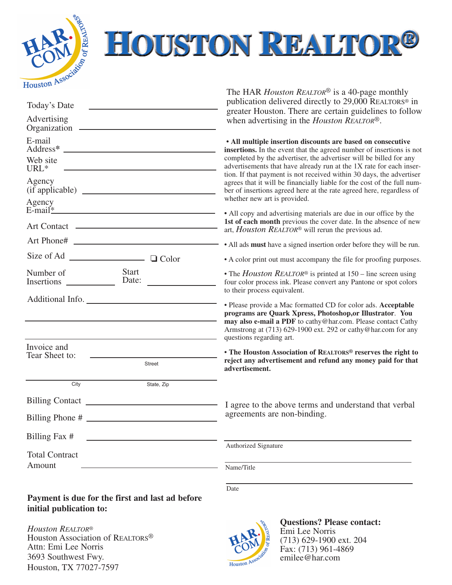

## **HOUSTON REALTOR®**

| Today's Date                                                                                 | The HAR <i>Houston REALTOR<sup>®</sup></i> is a 40-page monthly<br>publication delivered directly to 29,000 REALTORS <sup>®</sup> in<br>greater Houston. There are certain guidelines to follow                                                                                         |
|----------------------------------------------------------------------------------------------|-----------------------------------------------------------------------------------------------------------------------------------------------------------------------------------------------------------------------------------------------------------------------------------------|
| Advertising                                                                                  | when advertising in the <i>Houston REALTOR®</i> .                                                                                                                                                                                                                                       |
| E-mail                                                                                       | • All multiple insertion discounts are based on consecutive<br>insertions. In the event that the agreed number of insertions is not                                                                                                                                                     |
| Web site<br>URL <sup>*</sup>                                                                 | completed by the advertiser, the advertiser will be billed for any<br>advertisements that have already run at the 1X rate for each inser-<br>tion. If that payment is not received within 30 days, the advertiser                                                                       |
| Agency<br>Agency                                                                             | agrees that it will be financially liable for the cost of the full num-<br>ber of insertions agreed here at the rate agreed here, regardless of<br>whether new art is provided.                                                                                                         |
| $E$ -mail <sup>*</sup><br><u> 1989 - Johann Barbara, martxa alemaniar arg</u><br>Art Contact | • All copy and advertising materials are due in our office by the<br>1st of each month previous the cover date. In the absence of new<br>art, <i>Houston REALTOR®</i> will rerun the previous ad.                                                                                       |
| Art Phone#                                                                                   | • All ads must have a signed insertion order before they will be run.                                                                                                                                                                                                                   |
| $\Box$ Color                                                                                 | • A color print out must accompany the file for proofing purposes.                                                                                                                                                                                                                      |
| <b>Start</b><br>Number of<br>Date:                                                           | • The <i>Houston REALTOR®</i> is printed at $150$ – line screen using<br>four color process ink. Please convert any Pantone or spot colors<br>to their process equivalent.                                                                                                              |
| Additional Info.                                                                             | • Please provide a Mac formatted CD for color ads. Acceptable<br>programs are Quark Xpress, Photoshop, or Illustrator. You<br>may also e-mail a PDF to cathy@har.com. Please contact Cathy<br>Armstrong at (713) 629-1900 ext. 292 or cathy@har.com for any<br>questions regarding art. |
| Invoice and<br>Tear Sheet to:<br><b>Street</b>                                               | • The Houston Association of REALTORS® reserves the right to<br>reject any advertisement and refund any money paid for that<br>advertisement.                                                                                                                                           |
| City<br>State, Zip                                                                           |                                                                                                                                                                                                                                                                                         |
| <b>Billing Contact</b>                                                                       | I agree to the above terms and understand that verbal                                                                                                                                                                                                                                   |
| Billing Phone #                                                                              | agreements are non-binding.                                                                                                                                                                                                                                                             |
| Billing Fax #                                                                                |                                                                                                                                                                                                                                                                                         |
| <b>Total Contract</b>                                                                        | Authorized Signature                                                                                                                                                                                                                                                                    |
| Amount                                                                                       | Name/Title                                                                                                                                                                                                                                                                              |
|                                                                                              | Date                                                                                                                                                                                                                                                                                    |

**Payment is due for the first and last ad before initial publication to:**

*Houston REALTOR*® Houston Association of REALTORS® Attn: Emi Lee Norris 3693 Southwest Fwy. Houston, TX 77027-7597



**Questions? Please contact:** Emi Lee Norris (713) 629-1900 ext. 204  $\hat{F}ax:(713)$  961-4869 emilee@har.com